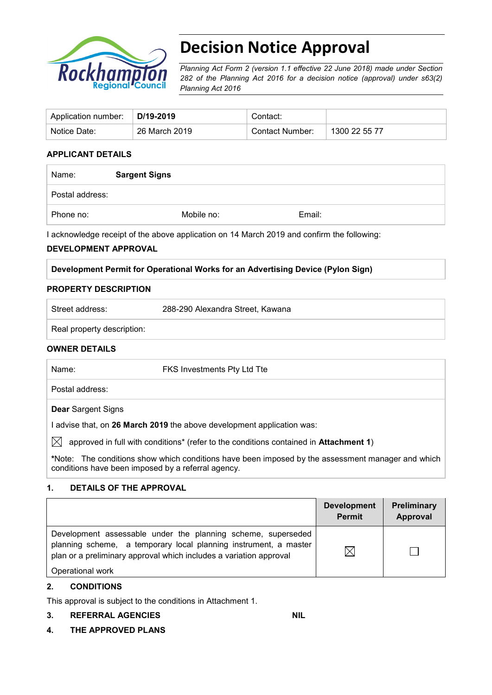

# **Decision Notice Approval**

*Planning Act Form 2 (version 1.1 effective 22 June 2018) made under Section 282 of the Planning Act 2016 for a decision notice (approval) under s63(2) Planning Act 2016*

| Application number: | ∣D/19-2019    | Contact:        |               |
|---------------------|---------------|-----------------|---------------|
| Notice Date:        | 26 March 2019 | Contact Number: | 1300 22 55 77 |

#### **APPLICANT DETAILS**

| Name:           | <b>Sargent Signs</b> |  |        |
|-----------------|----------------------|--|--------|
| Postal address: |                      |  |        |
| Phone no:       | Mobile no:           |  | Email: |

I acknowledge receipt of the above application on 14 March 2019 and confirm the following:

### **DEVELOPMENT APPROVAL**

#### **Development Permit for Operational Works for an Advertising Device (Pylon Sign)**

#### **PROPERTY DESCRIPTION**

| Street address:            | 288-290 Alexandra Street, Kawana |
|----------------------------|----------------------------------|
| Real property description: |                                  |

#### **OWNER DETAILS**

| Name:                     | FKS Investments Pty Ltd Tte                                                           |
|---------------------------|---------------------------------------------------------------------------------------|
| Postal address:           |                                                                                       |
| <b>Dear</b> Sargent Signs |                                                                                       |
|                           | I advise that, on 26 March 2019 the above development application was:                |
| $\boxtimes$               | approved in full with conditions* (refer to the conditions contained in Attachment 1) |

**\***Note:The conditions show which conditions have been imposed by the assessment manager and which conditions have been imposed by a referral agency.

#### **1. DETAILS OF THE APPROVAL**

|                                                                                                                                                                                                        | <b>Development</b><br><b>Permit</b> | Preliminary<br>Approval |
|--------------------------------------------------------------------------------------------------------------------------------------------------------------------------------------------------------|-------------------------------------|-------------------------|
| Development assessable under the planning scheme, superseded<br>planning scheme, a temporary local planning instrument, a master<br>plan or a preliminary approval which includes a variation approval |                                     |                         |
| Operational work                                                                                                                                                                                       |                                     |                         |

#### **2. CONDITIONS**

This approval is subject to the conditions in Attachment 1.

#### **3. REFERRAL AGENCIES NIL**

**4. THE APPROVED PLANS**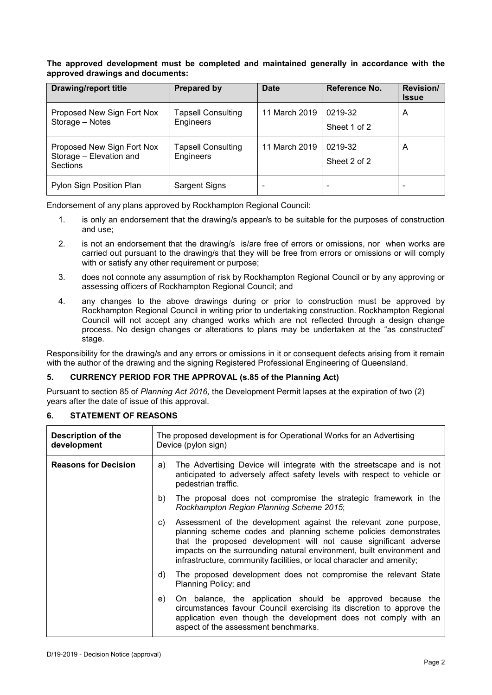#### **The approved development must be completed and maintained generally in accordance with the approved drawings and documents:**

| <b>Drawing/report title</b>                                              | <b>Prepared by</b>                     | <b>Date</b>   | Reference No.           | <b>Revision/</b><br><b>Issue</b> |
|--------------------------------------------------------------------------|----------------------------------------|---------------|-------------------------|----------------------------------|
| Proposed New Sign Fort Nox<br>Storage - Notes                            | <b>Tapsell Consulting</b><br>Engineers | 11 March 2019 | 0219-32<br>Sheet 1 of 2 | A                                |
| Proposed New Sign Fort Nox<br>Storage - Elevation and<br><b>Sections</b> | <b>Tapsell Consulting</b><br>Engineers | 11 March 2019 | 0219-32<br>Sheet 2 of 2 | A                                |
| Pylon Sign Position Plan                                                 | <b>Sargent Signs</b>                   |               |                         |                                  |

Endorsement of any plans approved by Rockhampton Regional Council:

- 1. is only an endorsement that the drawing/s appear/s to be suitable for the purposes of construction and use;
- 2. is not an endorsement that the drawing/s is/are free of errors or omissions, nor when works are carried out pursuant to the drawing/s that they will be free from errors or omissions or will comply with or satisfy any other requirement or purpose;
- 3. does not connote any assumption of risk by Rockhampton Regional Council or by any approving or assessing officers of Rockhampton Regional Council; and
- 4. any changes to the above drawings during or prior to construction must be approved by Rockhampton Regional Council in writing prior to undertaking construction. Rockhampton Regional Council will not accept any changed works which are not reflected through a design change process. No design changes or alterations to plans may be undertaken at the "as constructed" stage.

Responsibility for the drawing/s and any errors or omissions in it or consequent defects arising from it remain with the author of the drawing and the signing Registered Professional Engineering of Queensland.

#### **5. CURRENCY PERIOD FOR THE APPROVAL (s.85 of the Planning Act)**

Pursuant to section 85 of *Planning Act 2016,* the Development Permit lapses at the expiration of two (2) years after the date of issue of this approval.

#### **6. STATEMENT OF REASONS**

| <b>Description of the</b><br>development |    | The proposed development is for Operational Works for an Advertising<br>Device (pylon sign)                                                                                                                                                                                                                                                               |  |  |
|------------------------------------------|----|-----------------------------------------------------------------------------------------------------------------------------------------------------------------------------------------------------------------------------------------------------------------------------------------------------------------------------------------------------------|--|--|
| <b>Reasons for Decision</b>              | a) | The Advertising Device will integrate with the streetscape and is not<br>anticipated to adversely affect safety levels with respect to vehicle or<br>pedestrian traffic.                                                                                                                                                                                  |  |  |
|                                          | b) | The proposal does not compromise the strategic framework in the<br>Rockhampton Region Planning Scheme 2015;                                                                                                                                                                                                                                               |  |  |
|                                          | C) | Assessment of the development against the relevant zone purpose,<br>planning scheme codes and planning scheme policies demonstrates<br>that the proposed development will not cause significant adverse<br>impacts on the surrounding natural environment, built environment and<br>infrastructure, community facilities, or local character and amenity; |  |  |
|                                          | d) | The proposed development does not compromise the relevant State<br>Planning Policy; and                                                                                                                                                                                                                                                                   |  |  |
|                                          | e) | On balance, the application should be approved because the<br>circumstances favour Council exercising its discretion to approve the<br>application even though the development does not comply with an<br>aspect of the assessment benchmarks.                                                                                                            |  |  |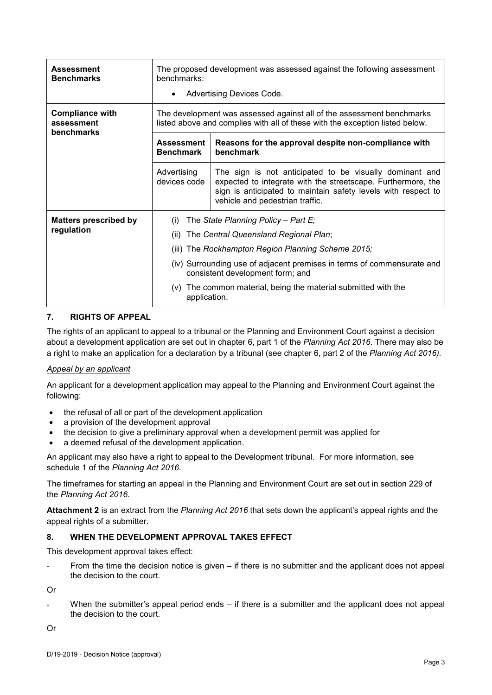| <b>Assessment</b><br><b>Benchmarks</b>             | The proposed development was assessed against the following assessment<br>benchmarks:<br>Advertising Devices Code.                                                                                                                                                                                                                                   |                                                                                                                                                                                                                             |  |
|----------------------------------------------------|------------------------------------------------------------------------------------------------------------------------------------------------------------------------------------------------------------------------------------------------------------------------------------------------------------------------------------------------------|-----------------------------------------------------------------------------------------------------------------------------------------------------------------------------------------------------------------------------|--|
| <b>Compliance with</b><br>assessment<br>benchmarks | The development was assessed against all of the assessment benchmarks<br>listed above and complies with all of these with the exception listed below.                                                                                                                                                                                                |                                                                                                                                                                                                                             |  |
|                                                    | <b>Assessment</b><br><b>Benchmark</b>                                                                                                                                                                                                                                                                                                                | Reasons for the approval despite non-compliance with<br>benchmark                                                                                                                                                           |  |
|                                                    | Advertising<br>devices code                                                                                                                                                                                                                                                                                                                          | The sign is not anticipated to be visually dominant and<br>expected to integrate with the streetscape. Furthermore, the<br>sign is anticipated to maintain safety levels with respect to<br>vehicle and pedestrian traffic. |  |
| <b>Matters prescribed by</b><br>regulation         | The State Planning Policy - Part E;<br>(i)<br>The Central Queensland Regional Plan;<br>(ii)<br>(iii) The Rockhampton Region Planning Scheme 2015;<br>(iv) Surrounding use of adjacent premises in terms of commensurate and<br>consistent development form; and<br>The common material, being the material submitted with the<br>(V)<br>application. |                                                                                                                                                                                                                             |  |

#### **7. RIGHTS OF APPEAL**

The rights of an applicant to appeal to a tribunal or the Planning and Environment Court against a decision about a development application are set out in chapter 6, part 1 of the *Planning Act 2016*. There may also be a right to make an application for a declaration by a tribunal (see chapter 6, part 2 of the *Planning Act 2016).*

#### *Appeal by an applicant*

An applicant for a development application may appeal to the Planning and Environment Court against the following:

- the refusal of all or part of the development application
- a provision of the development approval
- the decision to give a preliminary approval when a development permit was applied for
- a deemed refusal of the development application.

An applicant may also have a right to appeal to the Development tribunal. For more information, see schedule 1 of the *Planning Act 2016*.

The timeframes for starting an appeal in the Planning and Environment Court are set out in section 229 of the *Planning Act 2016*.

**Attachment 2** is an extract from the *Planning Act 2016* that sets down the applicant's appeal rights and the appeal rights of a submitter.

#### **8. WHEN THE DEVELOPMENT APPROVAL TAKES EFFECT**

This development approval takes effect:

From the time the decision notice is given – if there is no submitter and the applicant does not appeal the decision to the court.

Or

When the submitter's appeal period ends  $-$  if there is a submitter and the applicant does not appeal the decision to the court.

Or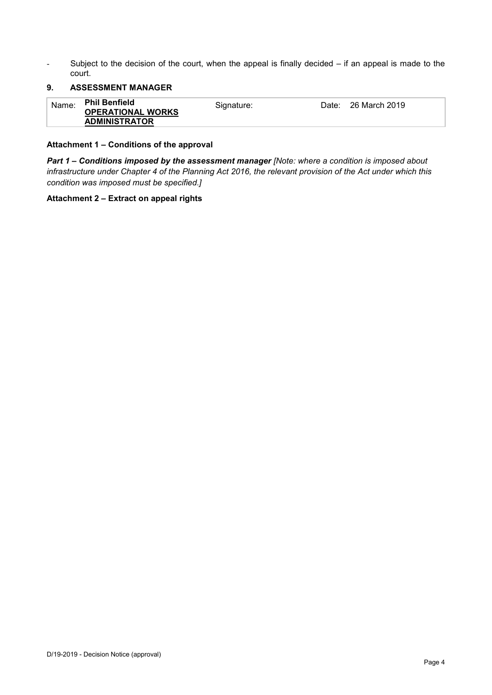- Subject to the decision of the court, when the appeal is finally decided – if an appeal is made to the court.

#### **9. ASSESSMENT MANAGER**

| Name: | <b>Phil Benfield</b><br><b>OPERATIONAL WORKS</b> | Signature: | 26 March 2019<br>Date: |
|-------|--------------------------------------------------|------------|------------------------|
|       | <b>ADMINISTRATOR</b>                             |            |                        |

#### **Attachment 1 – Conditions of the approval**

*Part 1* **–** *Conditions imposed by the assessment manager [Note: where a condition is imposed about infrastructure under Chapter 4 of the Planning Act 2016, the relevant provision of the Act under which this condition was imposed must be specified.]*

#### **Attachment 2 – Extract on appeal rights**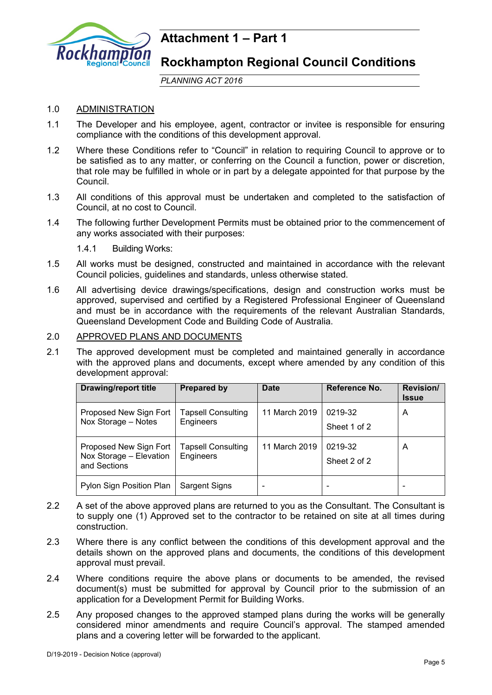

## **Attachment 1 – Part 1**

### **Rockhampton Regional Council Conditions**

*PLANNING ACT 2016*

### 1.0 ADMINISTRATION

- 1.1 The Developer and his employee, agent, contractor or invitee is responsible for ensuring compliance with the conditions of this development approval.
- 1.2 Where these Conditions refer to "Council" in relation to requiring Council to approve or to be satisfied as to any matter, or conferring on the Council a function, power or discretion, that role may be fulfilled in whole or in part by a delegate appointed for that purpose by the Council.
- 1.3 All conditions of this approval must be undertaken and completed to the satisfaction of Council, at no cost to Council.
- 1.4 The following further Development Permits must be obtained prior to the commencement of any works associated with their purposes:

1.4.1 Building Works:

- 1.5 All works must be designed, constructed and maintained in accordance with the relevant Council policies, guidelines and standards, unless otherwise stated.
- 1.6 All advertising device drawings/specifications, design and construction works must be approved, supervised and certified by a Registered Professional Engineer of Queensland and must be in accordance with the requirements of the relevant Australian Standards, Queensland Development Code and Building Code of Australia.

#### 2.0 APPROVED PLANS AND DOCUMENTS

2.1 The approved development must be completed and maintained generally in accordance with the approved plans and documents, except where amended by any condition of this development approval:

| <b>Drawing/report title</b>                                       | <b>Prepared by</b>                     | Date          | Reference No.           | <b>Revision/</b><br><b>Issue</b> |
|-------------------------------------------------------------------|----------------------------------------|---------------|-------------------------|----------------------------------|
| Proposed New Sign Fort<br>Nox Storage - Notes                     | <b>Tapsell Consulting</b><br>Engineers | 11 March 2019 | 0219-32<br>Sheet 1 of 2 | Α                                |
| Proposed New Sign Fort<br>Nox Storage - Elevation<br>and Sections | <b>Tapsell Consulting</b><br>Engineers | 11 March 2019 | 0219-32<br>Sheet 2 of 2 | А                                |
| Pylon Sign Position Plan                                          | <b>Sargent Signs</b>                   |               |                         |                                  |

- 2.2 A set of the above approved plans are returned to you as the Consultant. The Consultant is to supply one (1) Approved set to the contractor to be retained on site at all times during construction.
- 2.3 Where there is any conflict between the conditions of this development approval and the details shown on the approved plans and documents, the conditions of this development approval must prevail.
- 2.4 Where conditions require the above plans or documents to be amended, the revised document(s) must be submitted for approval by Council prior to the submission of an application for a Development Permit for Building Works.
- 2.5 Any proposed changes to the approved stamped plans during the works will be generally considered minor amendments and require Council's approval. The stamped amended plans and a covering letter will be forwarded to the applicant.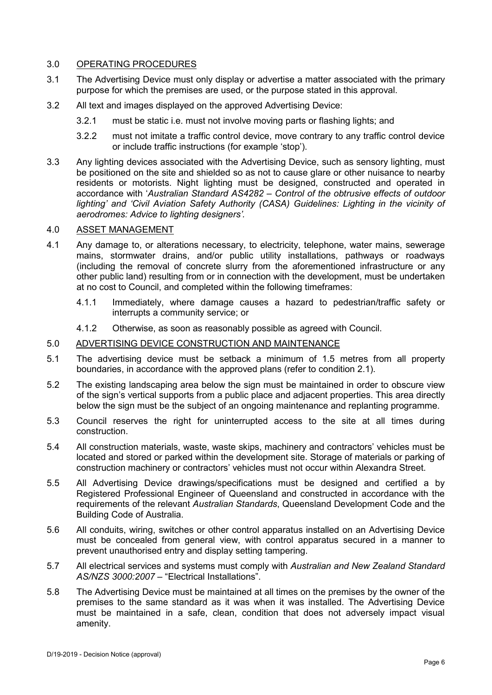#### 3.0 OPERATING PROCEDURES

- 3.1 The Advertising Device must only display or advertise a matter associated with the primary purpose for which the premises are used, or the purpose stated in this approval.
- 3.2 All text and images displayed on the approved Advertising Device:
	- 3.2.1 must be static i.e. must not involve moving parts or flashing lights; and
	- 3.2.2 must not imitate a traffic control device, move contrary to any traffic control device or include traffic instructions (for example 'stop').
- 3.3 Any lighting devices associated with the Advertising Device, such as sensory lighting, must be positioned on the site and shielded so as not to cause glare or other nuisance to nearby residents or motorists. Night lighting must be designed, constructed and operated in accordance with '*Australian Standard AS4282 – Control of the obtrusive effects of outdoor lighting' and 'Civil Aviation Safety Authority (CASA) Guidelines: Lighting in the vicinity of aerodromes: Advice to lighting designers'.*

#### 4.0 ASSET MANAGEMENT

- 4.1 Any damage to, or alterations necessary, to electricity, telephone, water mains, sewerage mains, stormwater drains, and/or public utility installations, pathways or roadways (including the removal of concrete slurry from the aforementioned infrastructure or any other public land) resulting from or in connection with the development, must be undertaken at no cost to Council, and completed within the following timeframes:
	- 4.1.1 Immediately, where damage causes a hazard to pedestrian/traffic safety or interrupts a community service; or
	- 4.1.2 Otherwise, as soon as reasonably possible as agreed with Council.

#### 5.0 ADVERTISING DEVICE CONSTRUCTION AND MAINTENANCE

- 5.1 The advertising device must be setback a minimum of 1.5 metres from all property boundaries, in accordance with the approved plans (refer to condition 2.1).
- 5.2 The existing landscaping area below the sign must be maintained in order to obscure view of the sign's vertical supports from a public place and adjacent properties. This area directly below the sign must be the subject of an ongoing maintenance and replanting programme.
- 5.3 Council reserves the right for uninterrupted access to the site at all times during construction.
- 5.4 All construction materials, waste, waste skips, machinery and contractors' vehicles must be located and stored or parked within the development site. Storage of materials or parking of construction machinery or contractors' vehicles must not occur within Alexandra Street.
- 5.5 All Advertising Device drawings/specifications must be designed and certified a by Registered Professional Engineer of Queensland and constructed in accordance with the requirements of the relevant *Australian Standards*, Queensland Development Code and the Building Code of Australia.
- 5.6 All conduits, wiring, switches or other control apparatus installed on an Advertising Device must be concealed from general view, with control apparatus secured in a manner to prevent unauthorised entry and display setting tampering.
- 5.7 All electrical services and systems must comply with *Australian and New Zealand Standard AS/NZS 3000:2007* – "Electrical Installations".
- 5.8 The Advertising Device must be maintained at all times on the premises by the owner of the premises to the same standard as it was when it was installed. The Advertising Device must be maintained in a safe, clean, condition that does not adversely impact visual amenity.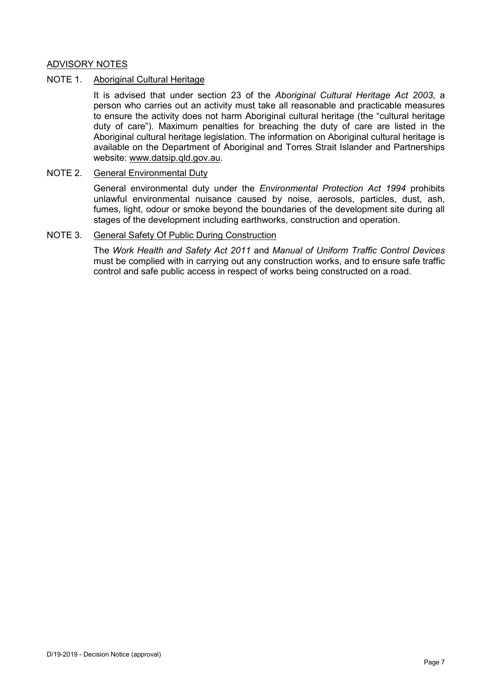#### ADVISORY NOTES

#### NOTE 1. Aboriginal Cultural Heritage

It is advised that under section 23 of the *Aboriginal Cultural Heritage Act 2003*, a person who carries out an activity must take all reasonable and practicable measures to ensure the activity does not harm Aboriginal cultural heritage (the "cultural heritage duty of care"). Maximum penalties for breaching the duty of care are listed in the Aboriginal cultural heritage legislation. The information on Aboriginal cultural heritage is available on the Department of Aboriginal and Torres Strait Islander and Partnerships website: [www.datsip.qld.gov.au.](http://www.datsip.qld.gov.au/)

#### NOTE 2. General Environmental Duty

General environmental duty under the *Environmental Protection Act 1994* prohibits unlawful environmental nuisance caused by noise, aerosols, particles, dust, ash, fumes, light, odour or smoke beyond the boundaries of the development site during all stages of the development including earthworks, construction and operation.

#### NOTE 3. General Safety Of Public During Construction

The *Work Health and Safety Act 2011* and *Manual of Uniform Traffic Control Devices* must be complied with in carrying out any construction works, and to ensure safe traffic control and safe public access in respect of works being constructed on a road.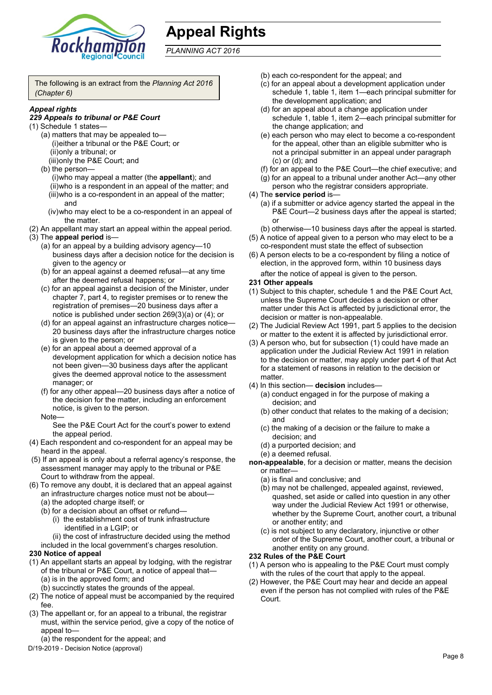

## **Appeal Rights**

*PLANNING ACT 2016*

The following is an extract from the *Planning Act 2016 (Chapter 6)*

#### *Appeal rights*

#### *229 Appeals to tribunal or P&E Court*

- (1) Schedule 1 states—
	- (a) matters that may be appealed to— (i)either a tribunal or the P&E Court; or (ii)only a tribunal; or
		- (iii)only the P&E Court; and
	- (b) the person— (i)who may appeal a matter (the **appellant**); and (ii)who is a respondent in an appeal of the matter; and (iii)who is a co-respondent in an appeal of the matter; and
		- (iv)who may elect to be a co-respondent in an appeal of the matter.
- (2) An appellant may start an appeal within the appeal period. (3) The **appeal period** is—
	- (a) for an appeal by a building advisory agency—10 business days after a decision notice for the decision is given to the agency or
	- (b) for an appeal against a deemed refusal—at any time after the deemed refusal happens; or
	- (c) for an appeal against a decision of the Minister, under chapter 7, part 4, to register premises or to renew the registration of premises—20 business days after a notice is published under section 269(3)(a) or (4); or
	- (d) for an appeal against an infrastructure charges notice— 20 business days after the infrastructure charges notice is given to the person; or
	- (e) for an appeal about a deemed approval of a development application for which a decision notice has not been given—30 business days after the applicant gives the deemed approval notice to the assessment manager; or
	- (f) for any other appeal—20 business days after a notice of the decision for the matter, including an enforcement notice, is given to the person.

#### Note—

See the P&E Court Act for the court's power to extend the appeal period.

- (4) Each respondent and co-respondent for an appeal may be heard in the appeal.
- (5) If an appeal is only about a referral agency's response, the assessment manager may apply to the tribunal or P&E Court to withdraw from the appeal.
- (6) To remove any doubt, it is declared that an appeal against
	- an infrastructure charges notice must not be about—
	- (a) the adopted charge itself; or
	- (b) for a decision about an offset or refund—
		- (i) the establishment cost of trunk infrastructure identified in a LGIP; or

(ii) the cost of infrastructure decided using the method

included in the local government's charges resolution.

#### **230 Notice of appeal**

- (1) An appellant starts an appeal by lodging, with the registrar of the tribunal or P&E Court, a notice of appeal that—
	- (a) is in the approved form; and
	- (b) succinctly states the grounds of the appeal.
- (2) The notice of appeal must be accompanied by the required fee.
- (3) The appellant or, for an appeal to a tribunal, the registrar must, within the service period, give a copy of the notice of appeal to—
- (a) the respondent for the appeal; and
- D/19-2019 Decision Notice (approval)
- (b) each co-respondent for the appeal; and
- (c) for an appeal about a development application under schedule 1, table 1, item 1—each principal submitter for the development application; and
- (d) for an appeal about a change application under schedule 1, table 1, item 2—each principal submitter for the change application; and
- (e) each person who may elect to become a co-respondent for the appeal, other than an eligible submitter who is not a principal submitter in an appeal under paragraph (c) or (d); and
- (f) for an appeal to the P&E Court—the chief executive; and
- (g) for an appeal to a tribunal under another Act—any other person who the registrar considers appropriate.
- (4) The **service period** is—
	- (a) if a submitter or advice agency started the appeal in the P&E Court—2 business days after the appeal is started; or

(b) otherwise—10 business days after the appeal is started.

- (5) A notice of appeal given to a person who may elect to be a co-respondent must state the effect of subsection
- (6) A person elects to be a co-respondent by filing a notice of election, in the approved form, within 10 business days after the notice of appeal is given to the person*.*

#### **231 Other appeals**

- (1) Subject to this chapter, schedule 1 and the P&E Court Act, unless the Supreme Court decides a decision or other matter under this Act is affected by jurisdictional error, the decision or matter is non-appealable.
- (2) The Judicial Review Act 1991, part 5 applies to the decision or matter to the extent it is affected by jurisdictional error.
- (3) A person who, but for subsection (1) could have made an application under the Judicial Review Act 1991 in relation to the decision or matter, may apply under part 4 of that Act for a statement of reasons in relation to the decision or matter
- (4) In this section— **decision** includes—
	- (a) conduct engaged in for the purpose of making a decision; and
	- (b) other conduct that relates to the making of a decision; and
	- (c) the making of a decision or the failure to make a decision; and
	- (d) a purported decision; and
	- (e) a deemed refusal.

**non-appealable**, for a decision or matter, means the decision or matter—

- (a) is final and conclusive; and
- (b) may not be challenged, appealed against, reviewed, quashed, set aside or called into question in any other way under the Judicial Review Act 1991 or otherwise, whether by the Supreme Court, another court, a tribunal or another entity; and
- (c) is not subject to any declaratory, injunctive or other order of the Supreme Court, another court, a tribunal or another entity on any ground.

#### **232 Rules of the P&E Court**

- (1) A person who is appealing to the P&E Court must comply with the rules of the court that apply to the appeal.
- (2) However, the P&E Court may hear and decide an appeal even if the person has not complied with rules of the P&E Court.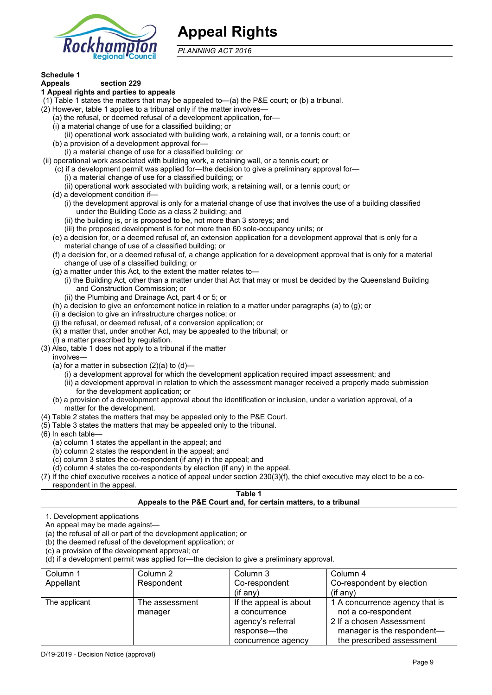

## **Appeal Rights**

*PLANNING ACT 2016*

## **Schedule 1**

#### **Appeals section 229 1 Appeal rights and parties to appeals**

- (1) Table 1 states the matters that may be appealed to—(a) the P&E court; or (b) a tribunal.
- (2) However, table 1 applies to a tribunal only if the matter involves—
	- (a) the refusal, or deemed refusal of a development application, for—
	- (i) a material change of use for a classified building; or
	- (ii) operational work associated with building work, a retaining wall, or a tennis court; or
	- (b) a provision of a development approval for—
	- (i) a material change of use for a classified building; or
- (ii) operational work associated with building work, a retaining wall, or a tennis court; or
	- (c) if a development permit was applied for—the decision to give a preliminary approval for—
		- (i) a material change of use for a classified building; or
		- (ii) operational work associated with building work, a retaining wall, or a tennis court; or
	- (d) a development condition if—
		- (i) the development approval is only for a material change of use that involves the use of a building classified under the Building Code as a class 2 building; and
		- (ii) the building is, or is proposed to be, not more than 3 storeys; and
		- (iii) the proposed development is for not more than 60 sole-occupancy units; or
	- (e) a decision for, or a deemed refusal of, an extension application for a development approval that is only for a material change of use of a classified building; or
	- (f) a decision for, or a deemed refusal of, a change application for a development approval that is only for a material change of use of a classified building; or
	- (g) a matter under this Act, to the extent the matter relates to—
		- (i) the Building Act, other than a matter under that Act that may or must be decided by the Queensland Building and Construction Commission; or
		- (ii) the Plumbing and Drainage Act, part 4 or 5; or
	- (h) a decision to give an enforcement notice in relation to a matter under paragraphs (a) to (g); or
	- (i) a decision to give an infrastructure charges notice; or
	- (j) the refusal, or deemed refusal, of a conversion application; or
	- (k) a matter that, under another Act, may be appealed to the tribunal; or
	- (l) a matter prescribed by regulation.
- (3) Also, table 1 does not apply to a tribunal if the matter
- involves—
	- (a) for a matter in subsection  $(2)(a)$  to  $(d)$ 
		- (i) a development approval for which the development application required impact assessment; and
		- (ii) a development approval in relation to which the assessment manager received a properly made submission for the development application; or
	- (b) a provision of a development approval about the identification or inclusion, under a variation approval, of a matter for the development.
- (4) Table 2 states the matters that may be appealed only to the P&E Court.
- (5) Table 3 states the matters that may be appealed only to the tribunal.
- (6) In each table—
	- (a) column 1 states the appellant in the appeal; and
	- (b) column 2 states the respondent in the appeal; and
	- (c) column 3 states the co-respondent (if any) in the appeal; and
- (d) column 4 states the co-respondents by election (if any) in the appeal.
- (7) If the chief executive receives a notice of appeal under section 230(3)(f), the chief executive may elect to be a corespondent in the appeal.

#### **Table 1 Appeals to the P&E Court and, for certain matters, to a tribunal**

1. Development applications

An appeal may be made against—

(a) the refusal of all or part of the development application; or

(b) the deemed refusal of the development application; or

(c) a provision of the development approval; or

(d) if a development permit was applied for—the decision to give a preliminary approval.

| Column 1      | Column 2                  | Column 3                                                                                           | Column 4                                                                                                                                     |
|---------------|---------------------------|----------------------------------------------------------------------------------------------------|----------------------------------------------------------------------------------------------------------------------------------------------|
| Appellant     | Respondent                | Co-respondent                                                                                      | Co-respondent by election                                                                                                                    |
|               |                           | $($ if any $)$                                                                                     | $($ if any $)$                                                                                                                               |
| The applicant | The assessment<br>manager | If the appeal is about<br>a concurrence<br>agency's referral<br>response-the<br>concurrence agency | 1 A concurrence agency that is<br>not a co-respondent<br>2 If a chosen Assessment<br>manager is the respondent-<br>the prescribed assessment |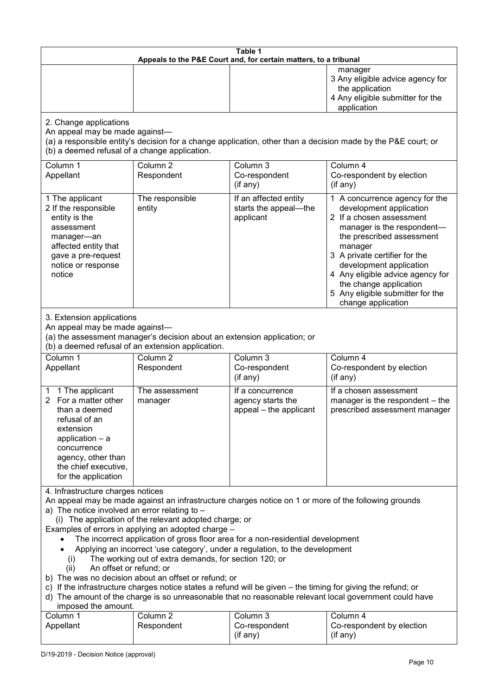| Table 1<br>Appeals to the P&E Court and, for certain matters, to a tribunal                                                                                                                                                                                                                                                                                                                                                                                                                                                                                                                                                                                                                                                                                                                                                                                                                 |                                                                                                                               |                                                                 |                                                                                                                                                                                                                                                                                                                                                 |  |
|---------------------------------------------------------------------------------------------------------------------------------------------------------------------------------------------------------------------------------------------------------------------------------------------------------------------------------------------------------------------------------------------------------------------------------------------------------------------------------------------------------------------------------------------------------------------------------------------------------------------------------------------------------------------------------------------------------------------------------------------------------------------------------------------------------------------------------------------------------------------------------------------|-------------------------------------------------------------------------------------------------------------------------------|-----------------------------------------------------------------|-------------------------------------------------------------------------------------------------------------------------------------------------------------------------------------------------------------------------------------------------------------------------------------------------------------------------------------------------|--|
|                                                                                                                                                                                                                                                                                                                                                                                                                                                                                                                                                                                                                                                                                                                                                                                                                                                                                             |                                                                                                                               |                                                                 | manager<br>3 Any eligible advice agency for<br>the application<br>4 Any eligible submitter for the<br>application                                                                                                                                                                                                                               |  |
| 2. Change applications<br>An appeal may be made against-<br>(b) a deemed refusal of a change application.                                                                                                                                                                                                                                                                                                                                                                                                                                                                                                                                                                                                                                                                                                                                                                                   |                                                                                                                               |                                                                 | (a) a responsible entity's decision for a change application, other than a decision made by the P&E court; or                                                                                                                                                                                                                                   |  |
| Column 1<br>Appellant                                                                                                                                                                                                                                                                                                                                                                                                                                                                                                                                                                                                                                                                                                                                                                                                                                                                       | Column <sub>2</sub><br>Respondent                                                                                             | Column 3<br>Co-respondent<br>(if any)                           | Column 4<br>Co-respondent by election<br>(if any)                                                                                                                                                                                                                                                                                               |  |
| 1 The applicant<br>2 If the responsible<br>entity is the<br>assessment<br>manager-an<br>affected entity that<br>gave a pre-request<br>notice or response<br>notice                                                                                                                                                                                                                                                                                                                                                                                                                                                                                                                                                                                                                                                                                                                          | The responsible<br>entity                                                                                                     | If an affected entity<br>starts the appeal-the<br>applicant     | 1 A concurrence agency for the<br>development application<br>2 If a chosen assessment<br>manager is the respondent-<br>the prescribed assessment<br>manager<br>3 A private certifier for the<br>development application<br>4 Any eligible advice agency for<br>the change application<br>5 Any eligible submitter for the<br>change application |  |
| 3. Extension applications<br>An appeal may be made against-                                                                                                                                                                                                                                                                                                                                                                                                                                                                                                                                                                                                                                                                                                                                                                                                                                 | (a) the assessment manager's decision about an extension application; or<br>(b) a deemed refusal of an extension application. |                                                                 |                                                                                                                                                                                                                                                                                                                                                 |  |
| Column 1<br>Appellant                                                                                                                                                                                                                                                                                                                                                                                                                                                                                                                                                                                                                                                                                                                                                                                                                                                                       | Column <sub>2</sub><br>Respondent                                                                                             | Column 3<br>Co-respondent<br>(if any)                           | Column 4<br>Co-respondent by election<br>(if any)                                                                                                                                                                                                                                                                                               |  |
| 1 The applicant<br>1<br>For a matter other<br>2<br>than a deemed<br>refusal of an<br>extension<br>application $-$ a<br>concurrence<br>agency, other than<br>the chief executive,<br>for the application                                                                                                                                                                                                                                                                                                                                                                                                                                                                                                                                                                                                                                                                                     | The assessment<br>manager                                                                                                     | If a concurrence<br>agency starts the<br>appeal – the applicant | If a chosen assessment<br>manager is the respondent - the<br>prescribed assessment manager                                                                                                                                                                                                                                                      |  |
| 4. Infrastructure charges notices<br>An appeal may be made against an infrastructure charges notice on 1 or more of the following grounds<br>a) The notice involved an error relating to $-$<br>(i) The application of the relevant adopted charge; or<br>Examples of errors in applying an adopted charge -<br>The incorrect application of gross floor area for a non-residential development<br>Applying an incorrect 'use category', under a regulation, to the development<br>The working out of extra demands, for section 120; or<br>(i)<br>An offset or refund; or<br>(ii)<br>b) The was no decision about an offset or refund; or<br>c) If the infrastructure charges notice states a refund will be given - the timing for giving the refund; or<br>d) The amount of the charge is so unreasonable that no reasonable relevant local government could have<br>imposed the amount. |                                                                                                                               |                                                                 |                                                                                                                                                                                                                                                                                                                                                 |  |
| Column 1<br>Appellant                                                                                                                                                                                                                                                                                                                                                                                                                                                                                                                                                                                                                                                                                                                                                                                                                                                                       | Column <sub>2</sub><br>Respondent                                                                                             | Column 3<br>Co-respondent<br>(if any)                           | Column 4<br>Co-respondent by election<br>(if any)                                                                                                                                                                                                                                                                                               |  |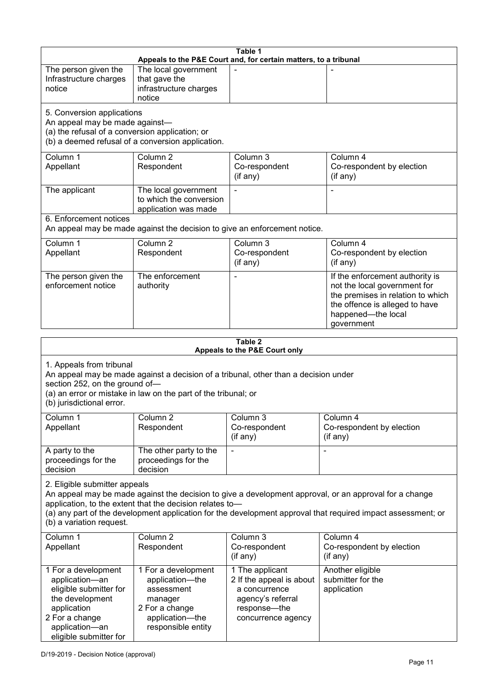| Table 1<br>Appeals to the P&E Court and, for certain matters, to a tribunal                                                                                                                                                                                                                                                                     |                                                                           |                                                          |                                                                                                                                                                            |
|-------------------------------------------------------------------------------------------------------------------------------------------------------------------------------------------------------------------------------------------------------------------------------------------------------------------------------------------------|---------------------------------------------------------------------------|----------------------------------------------------------|----------------------------------------------------------------------------------------------------------------------------------------------------------------------------|
| The person given the<br>Infrastructure charges<br>notice                                                                                                                                                                                                                                                                                        | The local government<br>that gave the<br>infrastructure charges<br>notice |                                                          |                                                                                                                                                                            |
| 5. Conversion applications<br>An appeal may be made against-<br>(a) the refusal of a conversion application; or<br>(b) a deemed refusal of a conversion application.                                                                                                                                                                            |                                                                           |                                                          |                                                                                                                                                                            |
| Column 1<br>Appellant                                                                                                                                                                                                                                                                                                                           | Column <sub>2</sub><br>Respondent                                         | Column 3<br>Co-respondent<br>(if any)                    | Column 4<br>Co-respondent by election<br>(if any)                                                                                                                          |
| The applicant                                                                                                                                                                                                                                                                                                                                   | The local government<br>to which the conversion<br>application was made   |                                                          |                                                                                                                                                                            |
| 6. Enforcement notices                                                                                                                                                                                                                                                                                                                          | An appeal may be made against the decision to give an enforcement notice. |                                                          |                                                                                                                                                                            |
| Column 1<br>Appellant                                                                                                                                                                                                                                                                                                                           | Column <sub>2</sub><br>Respondent                                         | Column 3<br>Co-respondent<br>(if any)                    | Column 4<br>Co-respondent by election<br>(if any)                                                                                                                          |
| The person given the<br>enforcement notice                                                                                                                                                                                                                                                                                                      | The enforcement<br>authority                                              | ÷                                                        | If the enforcement authority is<br>not the local government for<br>the premises in relation to which<br>the offence is alleged to have<br>happened-the local<br>government |
|                                                                                                                                                                                                                                                                                                                                                 |                                                                           | Table 2                                                  |                                                                                                                                                                            |
|                                                                                                                                                                                                                                                                                                                                                 |                                                                           | Appeals to the P&E Court only                            |                                                                                                                                                                            |
| 1. Appeals from tribunal<br>An appeal may be made against a decision of a tribunal, other than a decision under<br>section 252, on the ground of-<br>(a) an error or mistake in law on the part of the tribunal; or<br>(b) jurisdictional error.                                                                                                |                                                                           |                                                          |                                                                                                                                                                            |
| Column 1<br>Appellant                                                                                                                                                                                                                                                                                                                           | Column 2<br>Respondent                                                    | Column 3<br>Co-respondent<br>(if any)                    | Column 4<br>Co-respondent by election<br>(i f any)                                                                                                                         |
| A party to the<br>proceedings for the<br>decision                                                                                                                                                                                                                                                                                               | The other party to the<br>proceedings for the<br>decision                 | $\overline{a}$                                           |                                                                                                                                                                            |
| 2. Eligible submitter appeals<br>An appeal may be made against the decision to give a development approval, or an approval for a change<br>application, to the extent that the decision relates to-<br>(a) any part of the development application for the development approval that required impact assessment; or<br>(b) a variation request. |                                                                           |                                                          |                                                                                                                                                                            |
| Column 1<br>Appellant                                                                                                                                                                                                                                                                                                                           | Column <sub>2</sub><br>Respondent<br>1 For a development                  | Column 3<br>Co-respondent<br>(if any)<br>1 The annlicant | Column 4<br>Co-respondent by election<br>(if any)<br>Another eligible                                                                                                      |
| 1 For a development                                                                                                                                                                                                                                                                                                                             |                                                                           |                                                          |                                                                                                                                                                            |

|                                                                                                                                                                 |                                                                                                                            | (if any)                                                                                                                | $($ if any $)$                                       |
|-----------------------------------------------------------------------------------------------------------------------------------------------------------------|----------------------------------------------------------------------------------------------------------------------------|-------------------------------------------------------------------------------------------------------------------------|------------------------------------------------------|
| 1 For a development<br>application-an<br>eligible submitter for<br>the development<br>application<br>2 For a change<br>application-an<br>eligible submitter for | 1 For a development<br>application—the<br>assessment<br>manager<br>2 For a change<br>application-the<br>responsible entity | 1 The applicant<br>2 If the appeal is about<br>a concurrence<br>agency's referral<br>response—the<br>concurrence agency | Another eligible<br>submitter for the<br>application |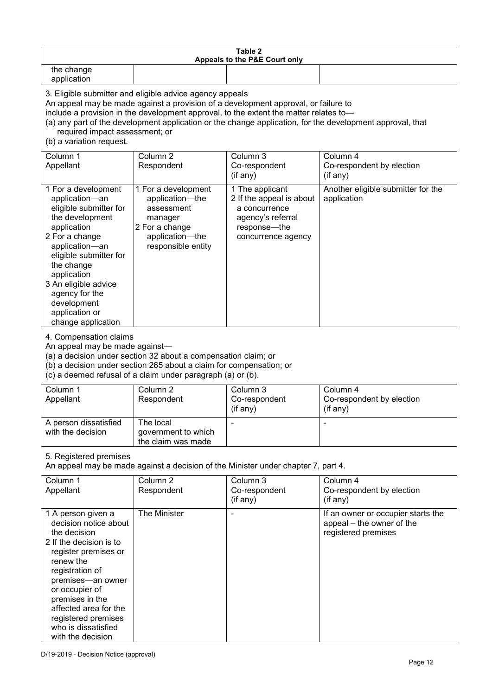| Table 2<br>Appeals to the P&E Court only                                                                                                                                                                                                                                                                                                                                                                           |                                                                                                                            |                                                                                                                         |                                                                                        |
|--------------------------------------------------------------------------------------------------------------------------------------------------------------------------------------------------------------------------------------------------------------------------------------------------------------------------------------------------------------------------------------------------------------------|----------------------------------------------------------------------------------------------------------------------------|-------------------------------------------------------------------------------------------------------------------------|----------------------------------------------------------------------------------------|
| the change<br>application                                                                                                                                                                                                                                                                                                                                                                                          |                                                                                                                            |                                                                                                                         |                                                                                        |
| 3. Eligible submitter and eligible advice agency appeals<br>An appeal may be made against a provision of a development approval, or failure to<br>include a provision in the development approval, to the extent the matter relates to-<br>(a) any part of the development application or the change application, for the development approval, that<br>required impact assessment; or<br>(b) a variation request. |                                                                                                                            |                                                                                                                         |                                                                                        |
| Column 1<br>Appellant                                                                                                                                                                                                                                                                                                                                                                                              | Column <sub>2</sub><br>Respondent                                                                                          | Column 3<br>Co-respondent<br>(if any)                                                                                   | Column 4<br>Co-respondent by election<br>(if any)                                      |
| 1 For a development<br>application-an<br>eligible submitter for<br>the development<br>application<br>2 For a change<br>application-an<br>eligible submitter for<br>the change<br>application<br>3 An eligible advice<br>agency for the<br>development<br>application or<br>change application                                                                                                                      | 1 For a development<br>application-the<br>assessment<br>manager<br>2 For a change<br>application-the<br>responsible entity | 1 The applicant<br>2 If the appeal is about<br>a concurrence<br>agency's referral<br>response-the<br>concurrence agency | Another eligible submitter for the<br>application                                      |
| 4. Compensation claims<br>An appeal may be made against-<br>(a) a decision under section 32 about a compensation claim; or<br>(b) a decision under section 265 about a claim for compensation; or<br>(c) a deemed refusal of a claim under paragraph (a) or (b).                                                                                                                                                   |                                                                                                                            |                                                                                                                         |                                                                                        |
| Column 1<br>Appellant                                                                                                                                                                                                                                                                                                                                                                                              | Column <sub>2</sub><br>Respondent                                                                                          | Column 3<br>Co-respondent<br>(if any)                                                                                   | Column 4<br>Co-respondent by election<br>(if any)                                      |
| A person dissatisfied<br>with the decision                                                                                                                                                                                                                                                                                                                                                                         | The local<br>government to which<br>the claim was made                                                                     |                                                                                                                         |                                                                                        |
| 5. Registered premises<br>An appeal may be made against a decision of the Minister under chapter 7, part 4.                                                                                                                                                                                                                                                                                                        |                                                                                                                            |                                                                                                                         |                                                                                        |
| Column 1<br>Appellant                                                                                                                                                                                                                                                                                                                                                                                              | Column <sub>2</sub><br>Respondent                                                                                          | Column 3<br>Co-respondent<br>(if any)                                                                                   | Column 4<br>Co-respondent by election<br>(if any)                                      |
| 1 A person given a<br>decision notice about<br>the decision<br>2 If the decision is to<br>register premises or<br>renew the<br>registration of<br>premises-an owner<br>or occupier of<br>premises in the<br>affected area for the<br>registered premises<br>who is dissatisfied<br>with the decision                                                                                                               | The Minister                                                                                                               |                                                                                                                         | If an owner or occupier starts the<br>appeal – the owner of the<br>registered premises |